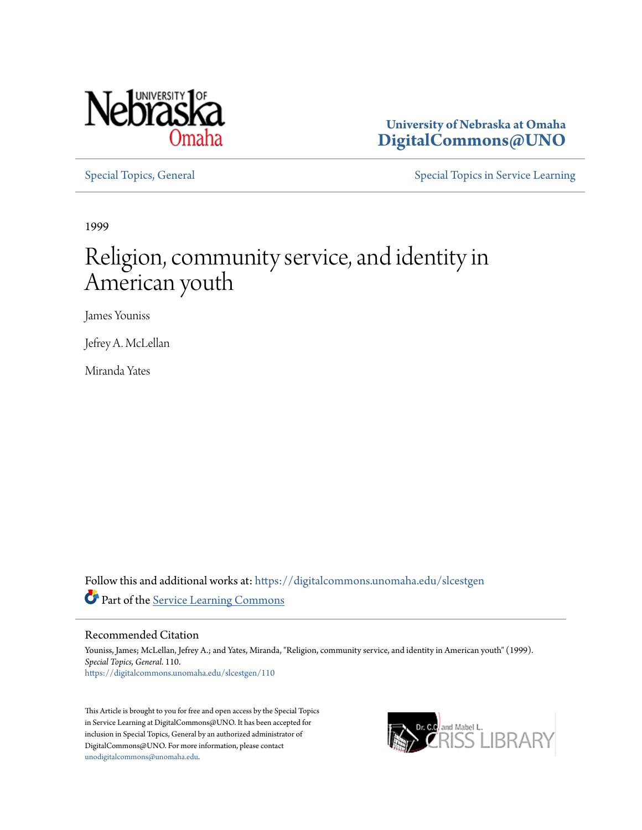

**University of Nebraska at Omaha [DigitalCommons@UNO](https://digitalcommons.unomaha.edu?utm_source=digitalcommons.unomaha.edu%2Fslcestgen%2F110&utm_medium=PDF&utm_campaign=PDFCoverPages)**

[Special Topics, General](https://digitalcommons.unomaha.edu/slcestgen?utm_source=digitalcommons.unomaha.edu%2Fslcestgen%2F110&utm_medium=PDF&utm_campaign=PDFCoverPages) [Special Topics in Service Learning](https://digitalcommons.unomaha.edu/slcespecialtopics?utm_source=digitalcommons.unomaha.edu%2Fslcestgen%2F110&utm_medium=PDF&utm_campaign=PDFCoverPages)

1999

## Religion, community service, and identity in American youth

James Youniss

Jefrey A. McLellan

Miranda Yates

Follow this and additional works at: [https://digitalcommons.unomaha.edu/slcestgen](https://digitalcommons.unomaha.edu/slcestgen?utm_source=digitalcommons.unomaha.edu%2Fslcestgen%2F110&utm_medium=PDF&utm_campaign=PDFCoverPages) Part of the [Service Learning Commons](http://network.bepress.com/hgg/discipline/1024?utm_source=digitalcommons.unomaha.edu%2Fslcestgen%2F110&utm_medium=PDF&utm_campaign=PDFCoverPages)

Recommended Citation

Youniss, James; McLellan, Jefrey A.; and Yates, Miranda, "Religion, community service, and identity in American youth" (1999). *Special Topics, General*. 110. [https://digitalcommons.unomaha.edu/slcestgen/110](https://digitalcommons.unomaha.edu/slcestgen/110?utm_source=digitalcommons.unomaha.edu%2Fslcestgen%2F110&utm_medium=PDF&utm_campaign=PDFCoverPages)

This Article is brought to you for free and open access by the Special Topics in Service Learning at DigitalCommons@UNO. It has been accepted for inclusion in Special Topics, General by an authorized administrator of DigitalCommons@UNO. For more information, please contact [unodigitalcommons@unomaha.edu](mailto:unodigitalcommons@unomaha.edu).